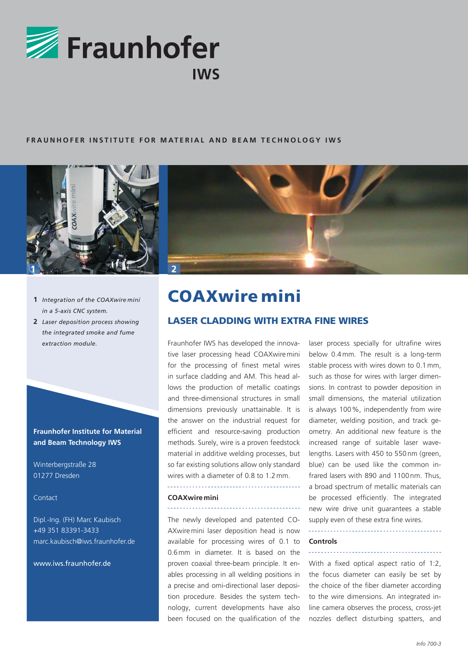

# FRAUNHOFER INSTITUTE FOR MATERIAL AND BEAM TECHNOLOGY IWS



- **1** *Integration of the COAXwire mini in a 5-axis CNC system.*
- **2** *Laser deposition process showing the integrated smoke and fume extraction module.*

**Fraunhofer Institute for Material and Beam Technology IWS**

Winterbergstraße 28 01277 Dresden

Contact

Dipl.-Ing. (FH) Marc Kaubisch +49 351 83391-3433 marc.kaubisch@iws.fraunhofer.de

www.iws.fraunhofer.de



# COAXwire mini

# LASER CLADDING with extra fine wires

Fraunhofer IWS has developed the innovative laser processing head COAXwire mini for the processing of finest metal wires in surface cladding and AM. This head allows the production of metallic coatings and three-dimensional structures in small dimensions previously unattainable. It is the answer on the industrial request for efficient and resource-saving production methods. Surely, wire is a proven feedstock material in additive welding processes, but so far existing solutions allow only standard wires with a diameter of 0.8 to 1.2 mm.

# **COAXwiremini**

The newly developed and patented CO-AXwire mini laser deposition head is now available for processing wires of 0.1 to 0.6mm in diameter. It is based on the proven coaxial three-beam principle. It enables processing in all welding positions in a precise and omi-directional laser deposition procedure. Besides the system technology, current developments have also been focused on the qualification of the

laser process specially for ultrafine wires below 0.4 mm. The result is a long-term stable process with wires down to 0.1 mm, such as those for wires with larger dimensions. In contrast to powder deposition in small dimensions, the material utilization is always 100%, independently from wire diameter, welding position, and track geometry. An additional new feature is the increased range of suitable laser wavelengths. Lasers with 450 to 550 nm (green, blue) can be used like the common infrared lasers with 890 and 1100 nm. Thus, a broad spectrum of metallic materials can be processed efficiently. The integrated new wire drive unit guarantees a stable supply even of these extra fine wires.

### **Controls**

With a fixed optical aspect ratio of 1:2, the focus diameter can easily be set by the choice of the fiber diameter according to the wire dimensions. An integrated inline camera observes the process, cross-jet nozzles deflect disturbing spatters, and